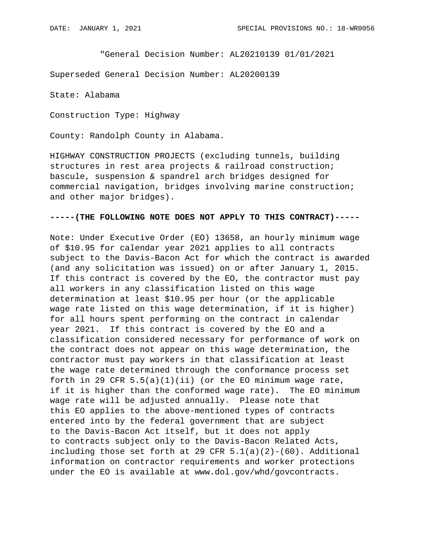"General Decision Number: AL20210139 01/01/2021

Superseded General Decision Number: AL20200139

State: Alabama

Construction Type: Highway

County: Randolph County in Alabama.

HIGHWAY CONSTRUCTION PROJECTS (excluding tunnels, building structures in rest area projects & railroad construction; bascule, suspension & spandrel arch bridges designed for commercial navigation, bridges involving marine construction; and other major bridges).

#### **-----(THE FOLLOWING NOTE DOES NOT APPLY TO THIS CONTRACT)-----**

Note: Under Executive Order (EO) 13658, an hourly minimum wage of \$10.95 for calendar year 2021 applies to all contracts subject to the Davis-Bacon Act for which the contract is awarded (and any solicitation was issued) on or after January 1, 2015. If this contract is covered by the EO, the contractor must pay all workers in any classification listed on this wage determination at least \$10.95 per hour (or the applicable wage rate listed on this wage determination, if it is higher) for all hours spent performing on the contract in calendar year 2021. If this contract is covered by the EO and a classification considered necessary for performance of work on the contract does not appear on this wage determination, the contractor must pay workers in that classification at least the wage rate determined through the conformance process set forth in 29 CFR  $5.5(a)(1)(ii)$  (or the EO minimum wage rate, if it is higher than the conformed wage rate). The EO minimum wage rate will be adjusted annually. Please note that this EO applies to the above-mentioned types of contracts entered into by the federal government that are subject to the Davis-Bacon Act itself, but it does not apply to contracts subject only to the Davis-Bacon Related Acts, including those set forth at 29 CFR  $5.1(a)(2)-(60)$ . Additional information on contractor requirements and worker protections under the EO is available at www.dol.gov/whd/govcontracts.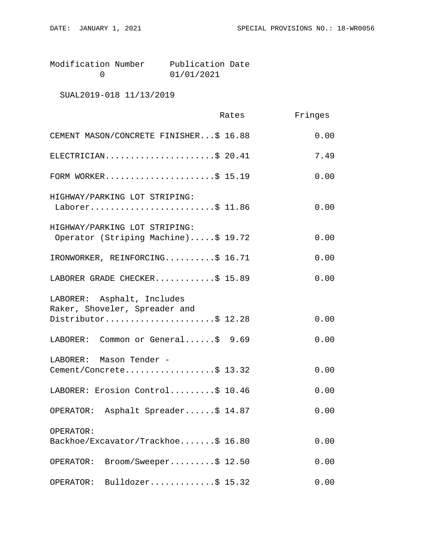| Modification Number | Publication Date |  |
|---------------------|------------------|--|
|                     | 01/01/2021       |  |

# SUAL2019-018 11/13/2019

|                                                                                    | Rates | Fringes |
|------------------------------------------------------------------------------------|-------|---------|
| CEMENT MASON/CONCRETE FINISHER\$ 16.88                                             |       | 0.00    |
| ELECTRICIAN\$ 20.41                                                                |       | 7.49    |
| FORM WORKER\$ 15.19                                                                |       | 0.00    |
| HIGHWAY/PARKING LOT STRIPING:<br>Laborer\$ 11.86                                   |       | 0.00    |
| HIGHWAY/PARKING LOT STRIPING:<br>Operator (Striping Machine)\$ 19.72               |       | 0.00    |
| IRONWORKER, REINFORCING\$ 16.71                                                    |       | 0.00    |
| LABORER GRADE CHECKER\$ 15.89                                                      |       | 0.00    |
| LABORER: Asphalt, Includes<br>Raker, Shoveler, Spreader and<br>Distributor\$ 12.28 |       | 0.00    |
| LABORER: Common or General\$ 9.69                                                  |       | 0.00    |
| LABORER: Mason Tender -<br>Cement/Concrete\$ 13.32                                 |       | 0.00    |
| LABORER: Erosion Control\$ 10.46                                                   |       | 0.00    |
| OPERATOR: Asphalt Spreader\$ 14.87                                                 |       | 0.00    |
| OPERATOR:<br>Backhoe/Excavator/Trackhoe\$ 16.80                                    |       | 0.00    |
| $\texttt{Brown}/\texttt{Sweeper} \dots \dots \$ 12.50<br>OPERATOR:                 |       | 0.00    |
| Bulldozer\$ $15.32$<br>OPERATOR:                                                   |       | 0.00    |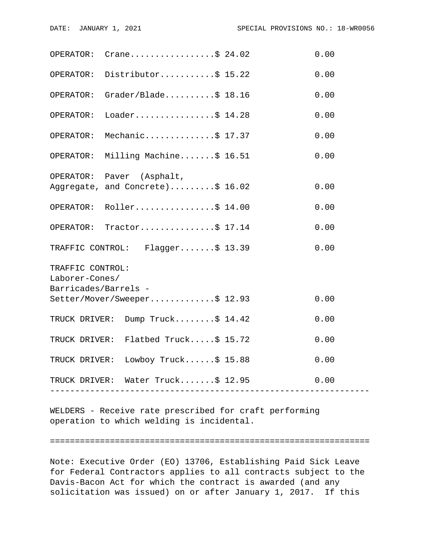| OPERATOR:                                            | Crane\$ 24.02                       |                    | 0.00 |  |  |
|------------------------------------------------------|-------------------------------------|--------------------|------|--|--|
|                                                      | OPERATOR: Distributor\$ 15.22       |                    | 0.00 |  |  |
|                                                      | OPERATOR: Grader/Blade\$ 18.16      |                    | 0.00 |  |  |
| OPERATOR:                                            | Loader\$ 14.28                      |                    | 0.00 |  |  |
| OPERATOR:                                            | Mechanic\$ 17.37                    |                    | 0.00 |  |  |
|                                                      | OPERATOR: Milling Machine\$ 16.51   |                    | 0.00 |  |  |
|                                                      | OPERATOR: Paver (Asphalt,           |                    |      |  |  |
|                                                      | Aggregate, and Concrete)\$ 16.02    |                    | 0.00 |  |  |
|                                                      | OPERATOR: Roller\$ 14.00            |                    | 0.00 |  |  |
|                                                      | OPERATOR: Tractor\$ 17.14           |                    | 0.00 |  |  |
|                                                      | TRAFFIC CONTROL: Flagger\$ 13.39    |                    | 0.00 |  |  |
| TRAFFIC CONTROL:                                     |                                     |                    |      |  |  |
| Laborer-Cones/                                       |                                     |                    |      |  |  |
| Barricades/Barrels -<br>Setter/Mover/Sweeper\$ 12.93 |                                     |                    |      |  |  |
|                                                      |                                     |                    | 0.00 |  |  |
|                                                      | TRUCK DRIVER: Dump Truck\$ 14.42    |                    | 0.00 |  |  |
|                                                      | TRUCK DRIVER: Flatbed Truck\$ 15.72 |                    | 0.00 |  |  |
|                                                      | TRUCK DRIVER: Lowboy Truck\$ 15.88  |                    | 0.00 |  |  |
|                                                      | TRUCK DRIVER: Water Truck\$ 12.95   | ------------------ | 0.00 |  |  |
|                                                      |                                     |                    |      |  |  |

WELDERS - Receive rate prescribed for craft performing operation to which welding is incidental.

#### ================================================================

Note: Executive Order (EO) 13706, Establishing Paid Sick Leave for Federal Contractors applies to all contracts subject to the Davis-Bacon Act for which the contract is awarded (and any solicitation was issued) on or after January 1, 2017. If this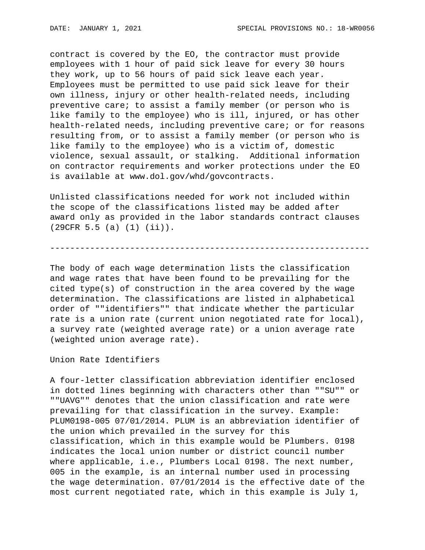contract is covered by the EO, the contractor must provide employees with 1 hour of paid sick leave for every 30 hours they work, up to 56 hours of paid sick leave each year. Employees must be permitted to use paid sick leave for their own illness, injury or other health-related needs, including preventive care; to assist a family member (or person who is like family to the employee) who is ill, injured, or has other health-related needs, including preventive care; or for reasons resulting from, or to assist a family member (or person who is like family to the employee) who is a victim of, domestic violence, sexual assault, or stalking. Additional information on contractor requirements and worker protections under the EO is available at www.dol.gov/whd/govcontracts.

Unlisted classifications needed for work not included within the scope of the classifications listed may be added after award only as provided in the labor standards contract clauses (29CFR 5.5 (a) (1) (ii)).

----------------------------------------------------------------

The body of each wage determination lists the classification and wage rates that have been found to be prevailing for the cited type(s) of construction in the area covered by the wage determination. The classifications are listed in alphabetical order of ""identifiers"" that indicate whether the particular rate is a union rate (current union negotiated rate for local), a survey rate (weighted average rate) or a union average rate (weighted union average rate).

Union Rate Identifiers

A four-letter classification abbreviation identifier enclosed in dotted lines beginning with characters other than ""SU"" or ""UAVG"" denotes that the union classification and rate were prevailing for that classification in the survey. Example: PLUM0198-005 07/01/2014. PLUM is an abbreviation identifier of the union which prevailed in the survey for this classification, which in this example would be Plumbers. 0198 indicates the local union number or district council number where applicable, i.e., Plumbers Local 0198. The next number, 005 in the example, is an internal number used in processing the wage determination. 07/01/2014 is the effective date of the most current negotiated rate, which in this example is July 1,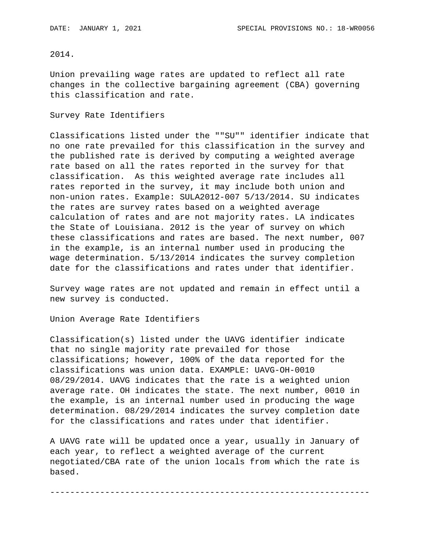## 2014.

Union prevailing wage rates are updated to reflect all rate changes in the collective bargaining agreement (CBA) governing this classification and rate.

#### Survey Rate Identifiers

Classifications listed under the ""SU"" identifier indicate that no one rate prevailed for this classification in the survey and the published rate is derived by computing a weighted average rate based on all the rates reported in the survey for that classification. As this weighted average rate includes all rates reported in the survey, it may include both union and non-union rates. Example: SULA2012-007 5/13/2014. SU indicates the rates are survey rates based on a weighted average calculation of rates and are not majority rates. LA indicates the State of Louisiana. 2012 is the year of survey on which these classifications and rates are based. The next number, 007 in the example, is an internal number used in producing the wage determination. 5/13/2014 indicates the survey completion date for the classifications and rates under that identifier.

Survey wage rates are not updated and remain in effect until a new survey is conducted.

Union Average Rate Identifiers

Classification(s) listed under the UAVG identifier indicate that no single majority rate prevailed for those classifications; however, 100% of the data reported for the classifications was union data. EXAMPLE: UAVG-OH-0010 08/29/2014. UAVG indicates that the rate is a weighted union average rate. OH indicates the state. The next number, 0010 in the example, is an internal number used in producing the wage determination. 08/29/2014 indicates the survey completion date for the classifications and rates under that identifier.

A UAVG rate will be updated once a year, usually in January of each year, to reflect a weighted average of the current negotiated/CBA rate of the union locals from which the rate is based.

----------------------------------------------------------------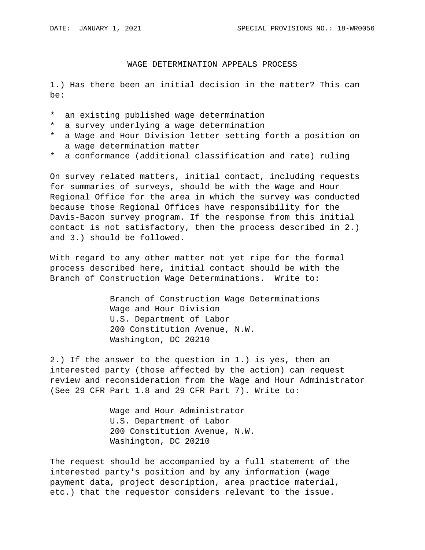## WAGE DETERMINATION APPEALS PROCESS

1.) Has there been an initial decision in the matter? This can be:

- \* an existing published wage determination
- \* a survey underlying a wage determination
- \* a Wage and Hour Division letter setting forth a position on a wage determination matter
- \* a conformance (additional classification and rate) ruling

On survey related matters, initial contact, including requests for summaries of surveys, should be with the Wage and Hour Regional Office for the area in which the survey was conducted because those Regional Offices have responsibility for the Davis-Bacon survey program. If the response from this initial contact is not satisfactory, then the process described in 2.) and 3.) should be followed.

With regard to any other matter not yet ripe for the formal process described here, initial contact should be with the Branch of Construction Wage Determinations. Write to:

> Branch of Construction Wage Determinations Wage and Hour Division U.S. Department of Labor 200 Constitution Avenue, N.W. Washington, DC 20210

2.) If the answer to the question in 1.) is yes, then an interested party (those affected by the action) can request review and reconsideration from the Wage and Hour Administrator (See 29 CFR Part 1.8 and 29 CFR Part 7). Write to:

> Wage and Hour Administrator U.S. Department of Labor 200 Constitution Avenue, N.W. Washington, DC 20210

The request should be accompanied by a full statement of the interested party's position and by any information (wage payment data, project description, area practice material, etc.) that the requestor considers relevant to the issue.